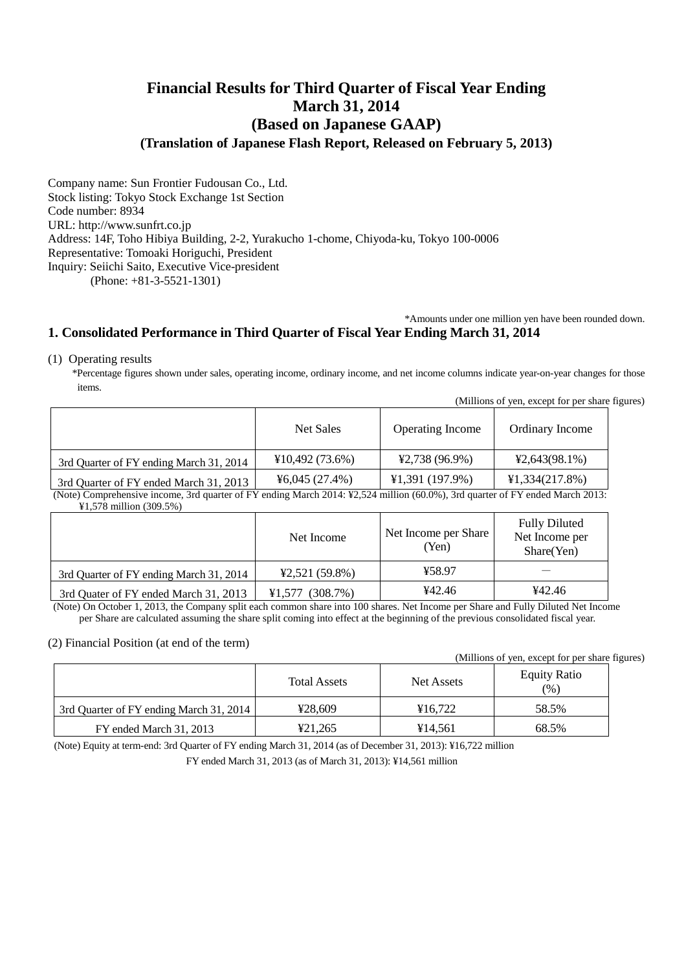# **Financial Results for Third Quarter of Fiscal Year Ending March 31, 2014 (Based on Japanese GAAP) (Translation of Japanese Flash Report, Released on February 5, 2013)**

Company name: Sun Frontier Fudousan Co., Ltd. Stock listing: Tokyo Stock Exchange 1st Section Code number: 8934 URL: http://www.sunfrt.co.jp Address: 14F, Toho Hibiya Building, 2-2, Yurakucho 1-chome, Chiyoda-ku, Tokyo 100-0006 Representative: Tomoaki Horiguchi, President Inquiry: Seiichi Saito, Executive Vice-president (Phone: +81-3-5521-1301)

\*Amounts under one million yen have been rounded down.

### **1. Consolidated Performance in Third Quarter of Fiscal Year Ending March 31, 2014**

#### (1) Operating results

\*Percentage figures shown under sales, operating income, ordinary income, and net income columns indicate year-on-year changes for those items.

|                                         |                |                         | (Millions of yen, except for per share figures) |  |
|-----------------------------------------|----------------|-------------------------|-------------------------------------------------|--|
|                                         | Net Sales      | <b>Operating Income</b> | Ordinary Income                                 |  |
| 3rd Quarter of FY ending March 31, 2014 | ¥10,492(73.6%) | $42,738(96.9\%)$        | $42,643(98.1\%)$                                |  |
| 3rd Quarter of FY ended March 31, 2013  | 46,045(27.4%)  | ¥1,391(197.9%)          | ¥1,334(217.8%)                                  |  |

(Note) Comprehensive income, 3rd quarter of FY ending March 2014: ¥2,524 million (60.0%), 3rd quarter of FY ended March 2013: ¥1,578 million (309.5%)

|                                         | Net Income         | Net Income per Share<br>(Yen) | <b>Fully Diluted</b><br>Net Income per<br>Share(Yen) |
|-----------------------------------------|--------------------|-------------------------------|------------------------------------------------------|
| 3rd Quarter of FY ending March 31, 2014 | $42,521(59.8\%)$   | ¥58.97                        |                                                      |
| 3rd Quater of FY ended March 31, 2013   | (308.7%)<br>¥1.577 | ¥42.46                        | 442.46                                               |

(Note) On October 1, 2013, the Company split each common share into 100 shares. Net Income per Share and Fully Diluted Net Income per Share are calculated assuming the share split coming into effect at the beginning of the previous consolidated fiscal year.

#### (2) Financial Position (at end of the term)

(Millions of yen, except for per share figures)

|                                         | <b>Total Assets</b> | Net Assets | <b>Equity Ratio</b><br>(%) |
|-----------------------------------------|---------------------|------------|----------------------------|
| 3rd Ouarter of FY ending March 31, 2014 | ¥28,609             | ¥16.722    | 58.5%                      |
| FY ended March 31, 2013                 | ¥21,265             | ¥14.561    | 68.5%                      |

(Note) Equity at term-end: 3rd Quarter of FY ending March 31, 2014 (as of December 31, 2013): ¥16,722 million FY ended March 31, 2013 (as of March 31, 2013): ¥14,561 million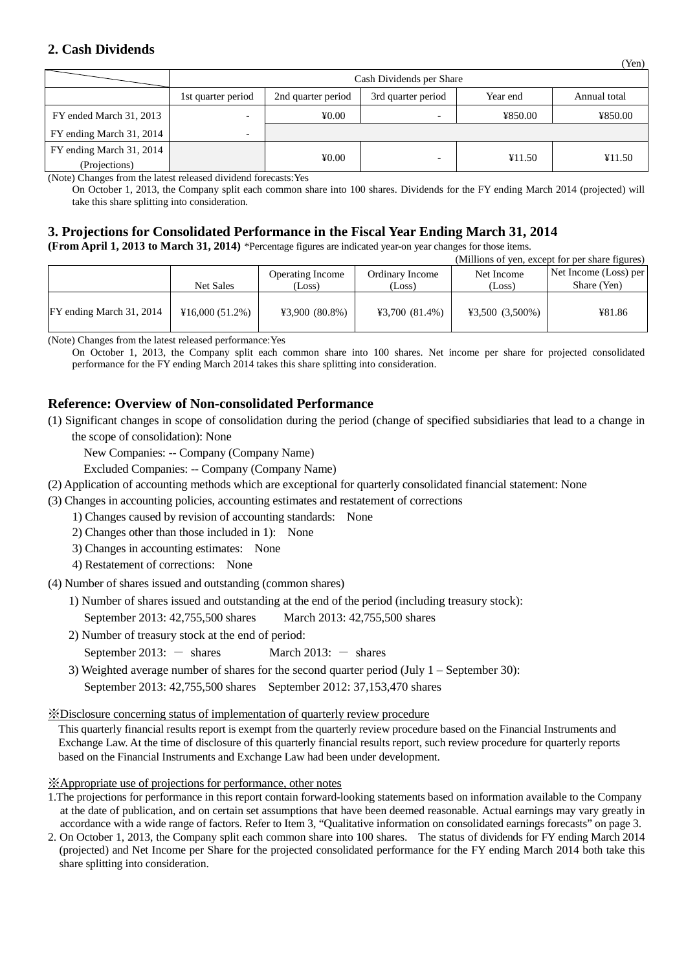### **2. Cash Dividends**

|                          | Cash Dividends per Share |                    |                    |          |              |  |  |
|--------------------------|--------------------------|--------------------|--------------------|----------|--------------|--|--|
|                          | 1st quarter period       | 2nd quarter period | 3rd quarter period | Year end | Annual total |  |  |
| FY ended March 31, 2013  | -                        | 40.00              |                    | ¥850.00  | ¥850.00      |  |  |
| FY ending March 31, 2014 | $\overline{\phantom{0}}$ |                    |                    |          |              |  |  |
| FY ending March 31, 2014 |                          |                    |                    |          |              |  |  |
| (Projections)            |                          | 40.00              |                    | ¥11.50   | ¥11.50       |  |  |

(Note) Changes from the latest released dividend forecasts:Yes

On October 1, 2013, the Company split each common share into 100 shares. Dividends for the FY ending March 2014 (projected) will take this share splitting into consideration.

## **3. Projections for Consolidated Performance in the Fiscal Year Ending March 31, 2014**

**(From April 1, 2013 to March 31, 2014)** \*Percentage figures are indicated year-on year changes for those items.

|                          |                |                                   |                           |                      | (Millions of yen, except for per share figures) |
|--------------------------|----------------|-----------------------------------|---------------------------|----------------------|-------------------------------------------------|
|                          | Net Sales      | <b>Operating Income</b><br>(Loss) | Ordinary Income<br>(Loss) | Net Income<br>(Loss) | Net Income (Loss) per<br>Share (Yen)            |
| FY ending March 31, 2014 | ¥16,000(51.2%) | $43,900(80.8\%)$                  | 43,700(81.4%)             | $43,500(3,500\%)$    | ¥81.86                                          |

(Note) Changes from the latest released performance:Yes

On October 1, 2013, the Company split each common share into 100 shares. Net income per share for projected consolidated performance for the FY ending March 2014 takes this share splitting into consideration.

## **Reference: Overview of Non-consolidated Performance**

(1) Significant changes in scope of consolidation during the period (change of specified subsidiaries that lead to a change in the scope of consolidation): None

New Companies: -- Company (Company Name)

Excluded Companies: -- Company (Company Name)

- (2) Application of accounting methods which are exceptional for quarterly consolidated financial statement: None
- (3) Changes in accounting policies, accounting estimates and restatement of corrections
	- 1) Changes caused by revision of accounting standards: None
	- 2) Changes other than those included in 1): None
	- 3) Changes in accounting estimates: None
	- 4) Restatement of corrections: None
- (4) Number of shares issued and outstanding (common shares)
	- 1) Number of shares issued and outstanding at the end of the period (including treasury stock):

September 2013: 42,755,500 shares March 2013: 42,755,500 shares

- 2) Number of treasury stock at the end of period:
	- September 2013:  $-$  shares March 2013:  $-$  shares
- 3) Weighted average number of shares for the second quarter period (July 1 September 30):

September 2013: 42,755,500 shares September 2012: 37,153,470 shares

### ※Disclosure concerning status of implementation of quarterly review procedure

This quarterly financial results report is exempt from the quarterly review procedure based on the Financial Instruments and Exchange Law. At the time of disclosure of this quarterly financial results report, such review procedure for quarterly reports based on the Financial Instruments and Exchange Law had been under development.

### ※Appropriate use of projections for performance, other notes

2. On October 1, 2013, the Company split each common share into 100 shares. The status of dividends for FY ending March 2014 (projected) and Net Income per Share for the projected consolidated performance for the FY ending March 2014 both take this share splitting into consideration.

(Yen)

<sup>1.</sup>The projections for performance in this report contain forward-looking statements based on information available to the Company at the date of publication, and on certain set assumptions that have been deemed reasonable. Actual earnings may vary greatly in accordance with a wide range of factors. Refer to Item 3, "Qualitative information on consolidated earnings forecasts" on page 3.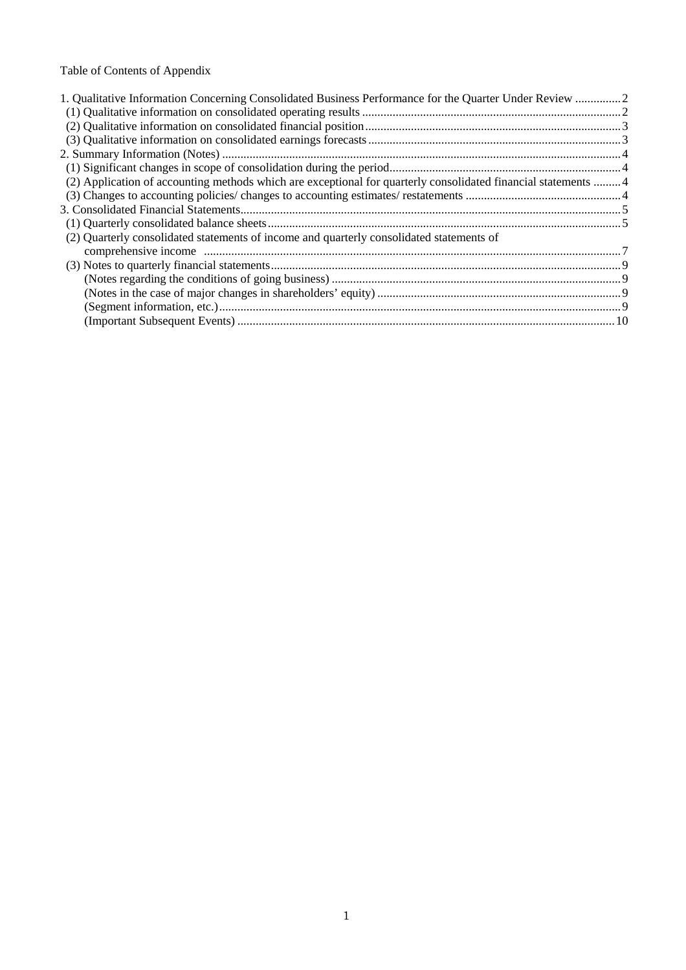# Table of Contents of Appendix

| 1. Qualitative Information Concerning Consolidated Business Performance for the Quarter Under Review 2        |  |
|---------------------------------------------------------------------------------------------------------------|--|
|                                                                                                               |  |
|                                                                                                               |  |
|                                                                                                               |  |
|                                                                                                               |  |
|                                                                                                               |  |
| (2) Application of accounting methods which are exceptional for quarterly consolidated financial statements 4 |  |
|                                                                                                               |  |
|                                                                                                               |  |
|                                                                                                               |  |
| (2) Quarterly consolidated statements of income and quarterly consolidated statements of                      |  |
|                                                                                                               |  |
|                                                                                                               |  |
|                                                                                                               |  |
|                                                                                                               |  |
|                                                                                                               |  |
|                                                                                                               |  |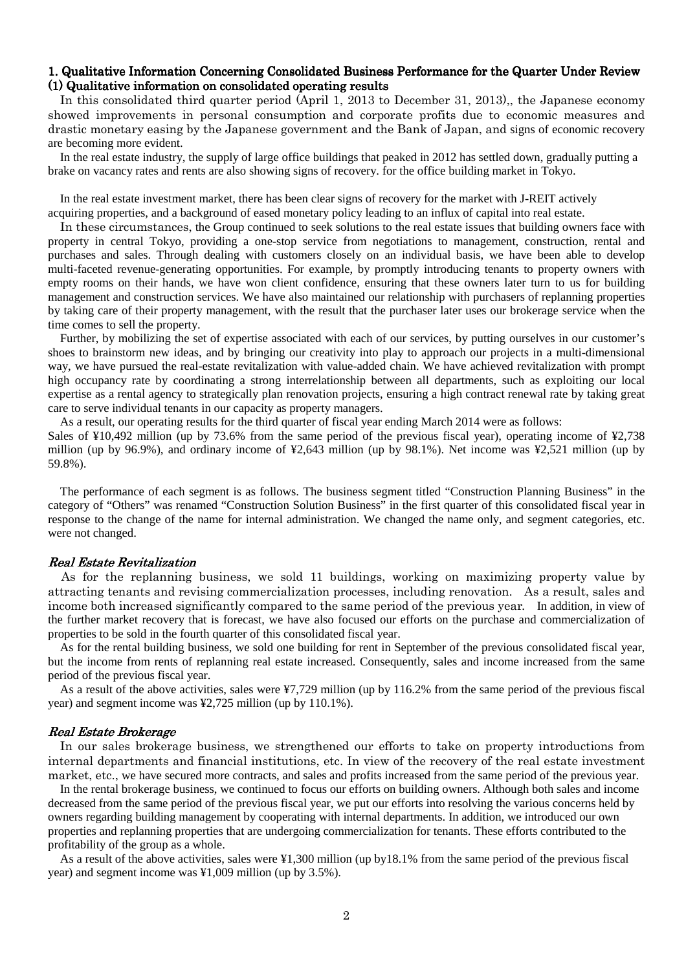### 1. Qualitative Information Concerning Consolidated Business Performance for the Quarter Under Review  $(1)$  Qualitative information on consolidated operating results

In this consolidated third quarter period (April 1, 2013 to December 31, 2013),, the Japanese economy showed improvements in personal consumption and corporate profits due to economic measures and drastic monetary easing by the Japanese government and the Bank of Japan, and signs of economic recovery are becoming more evident.

In the real estate industry, the supply of large office buildings that peaked in 2012 has settled down, gradually putting a brake on vacancy rates and rents are also showing signs of recovery. for the office building market in Tokyo.

In the real estate investment market, there has been clear signs of recovery for the market with J-REIT actively acquiring properties, and a background of eased monetary policy leading to an influx of capital into real estate.

In these circumstances, the Group continued to seek solutions to the real estate issues that building owners face with property in central Tokyo, providing a one-stop service from negotiations to management, construction, rental and purchases and sales. Through dealing with customers closely on an individual basis, we have been able to develop multi-faceted revenue-generating opportunities. For example, by promptly introducing tenants to property owners with empty rooms on their hands, we have won client confidence, ensuring that these owners later turn to us for building management and construction services. We have also maintained our relationship with purchasers of replanning properties by taking care of their property management, with the result that the purchaser later uses our brokerage service when the time comes to sell the property.

Further, by mobilizing the set of expertise associated with each of our services, by putting ourselves in our customer's shoes to brainstorm new ideas, and by bringing our creativity into play to approach our projects in a multi-dimensional way, we have pursued the real-estate revitalization with value-added chain. We have achieved revitalization with prompt high occupancy rate by coordinating a strong interrelationship between all departments, such as exploiting our local expertise as a rental agency to strategically plan renovation projects, ensuring a high contract renewal rate by taking great care to serve individual tenants in our capacity as property managers.

As a result, our operating results for the third quarter of fiscal year ending March 2014 were as follows:

Sales of  $\frac{10,492}{10,492}$  million (up by 73.6% from the same period of the previous fiscal year), operating income of  $\frac{12,738}{10,492}$ million (up by 96.9%), and ordinary income of ¥2,643 million (up by 98.1%). Net income was ¥2,521 million (up by 59.8%).

The performance of each segment is as follows. The business segment titled "Construction Planning Business" in the category of "Others" was renamed "Construction Solution Business" in the first quarter of this consolidated fiscal year in response to the change of the name for internal administration. We changed the name only, and segment categories, etc. were not changed.

#### **Real Estate Revitalization**

As for the replanning business, we sold 11 buildings, working on maximizing property value by attracting tenants and revising commercialization processes, including renovation. As a result, sales and income both increased significantly compared to the same period of the previous year. In addition, in view of the further market recovery that is forecast, we have also focused our efforts on the purchase and commercialization of properties to be sold in the fourth quarter of this consolidated fiscal year.

 As for the rental building business, we sold one building for rent in September of the previous consolidated fiscal year, but the income from rents of replanning real estate increased. Consequently, sales and income increased from the same period of the previous fiscal year.

As a result of the above activities, sales were ¥7,729 million (up by 116.2% from the same period of the previous fiscal year) and segment income was ¥2,725 million (up by 110.1%).

#### **Real Estate Brokerage**

In our sales brokerage business, we strengthened our efforts to take on property introductions from internal departments and financial institutions, etc. In view of the recovery of the real estate investment market, etc., we have secured more contracts, and sales and profits increased from the same period of the previous year.

In the rental brokerage business, we continued to focus our efforts on building owners. Although both sales and income decreased from the same period of the previous fiscal year, we put our efforts into resolving the various concerns held by owners regarding building management by cooperating with internal departments. In addition, we introduced our own properties and replanning properties that are undergoing commercialization for tenants. These efforts contributed to the profitability of the group as a whole.

As a result of the above activities, sales were ¥1,300 million (up by18.1% from the same period of the previous fiscal year) and segment income was ¥1,009 million (up by 3.5%).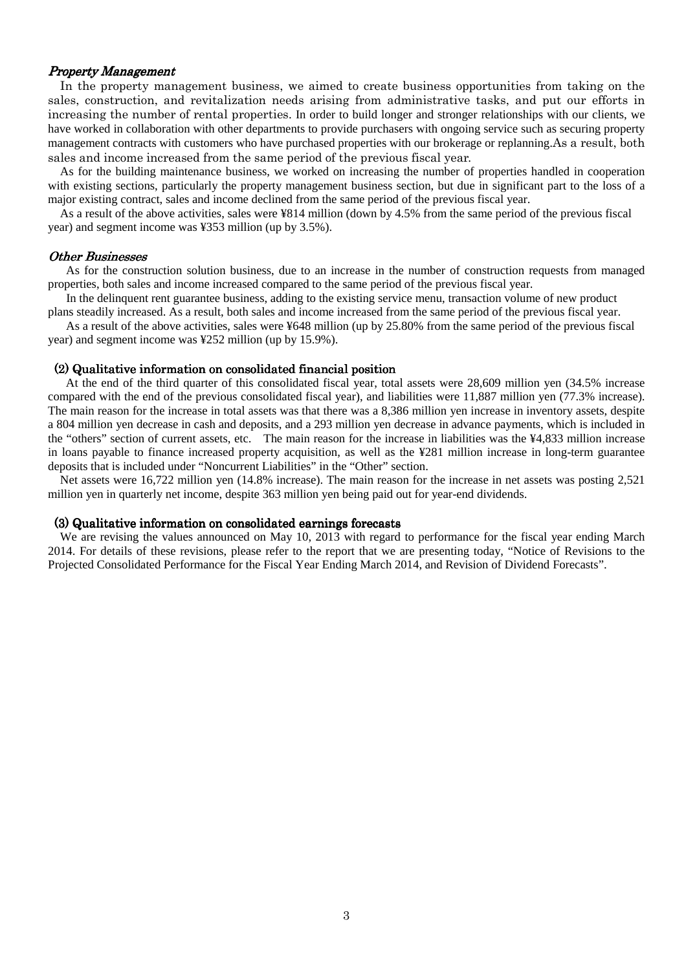### Property Management

In the property management business, we aimed to create business opportunities from taking on the sales, construction, and revitalization needs arising from administrative tasks, and put our efforts in increasing the number of rental properties. In order to build longer and stronger relationships with our clients, we have worked in collaboration with other departments to provide purchasers with ongoing service such as securing property management contracts with customers who have purchased properties with our brokerage or replanning.As a result, both sales and income increased from the same period of the previous fiscal year.

As for the building maintenance business, we worked on increasing the number of properties handled in cooperation with existing sections, particularly the property management business section, but due in significant part to the loss of a major existing contract, sales and income declined from the same period of the previous fiscal year.

As a result of the above activities, sales were ¥814 million (down by 4.5% from the same period of the previous fiscal year) and segment income was ¥353 million (up by 3.5%).

#### **Other Businesses**

As for the construction solution business, due to an increase in the number of construction requests from managed properties, both sales and income increased compared to the same period of the previous fiscal year.

 In the delinquent rent guarantee business, adding to the existing service menu, transaction volume of new product plans steadily increased. As a result, both sales and income increased from the same period of the previous fiscal year.

 As a result of the above activities, sales were ¥648 million (up by 25.80% from the same period of the previous fiscal year) and segment income was ¥252 million (up by 15.9%).

#### $(2)$  Qualitative information on consolidated financial position

 At the end of the third quarter of this consolidated fiscal year, total assets were 28,609 million yen (34.5% increase compared with the end of the previous consolidated fiscal year), and liabilities were 11,887 million yen (77.3% increase). The main reason for the increase in total assets was that there was a 8,386 million yen increase in inventory assets, despite a 804 million yen decrease in cash and deposits, and a 293 million yen decrease in advance payments, which is included in the "others" section of current assets, etc. The main reason for the increase in liabilities was the ¥4,833 million increase in loans payable to finance increased property acquisition, as well as the ¥281 million increase in long-term guarantee deposits that is included under "Noncurrent Liabilities" in the "Other" section.

 Net assets were 16,722 million yen (14.8% increase). The main reason for the increase in net assets was posting 2,521 million yen in quarterly net income, despite 363 million yen being paid out for year-end dividends.

### (3) Qualitative information on consolidated earnings forecasts

We are revising the values announced on May 10, 2013 with regard to performance for the fiscal year ending March 2014. For details of these revisions, please refer to the report that we are presenting today, "Notice of Revisions to the Projected Consolidated Performance for the Fiscal Year Ending March 2014, and Revision of Dividend Forecasts".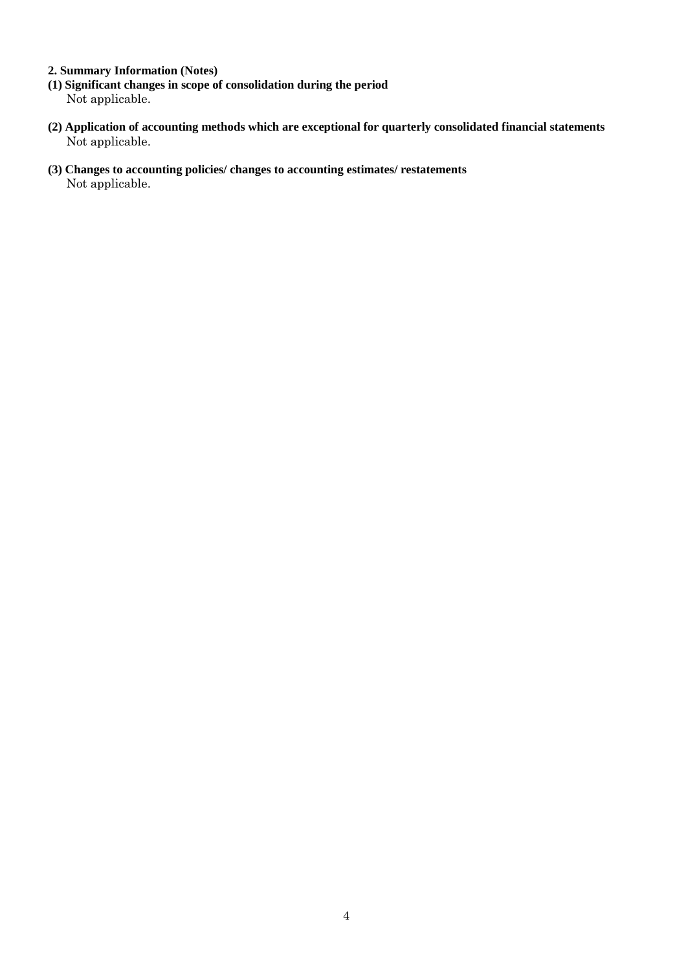## **2. Summary Information (Notes)**

- **(1) Significant changes in scope of consolidation during the period**  Not applicable.
- **(2) Application of accounting methods which are exceptional for quarterly consolidated financial statements**  Not applicable.
- **(3) Changes to accounting policies/ changes to accounting estimates/ restatements**  Not applicable.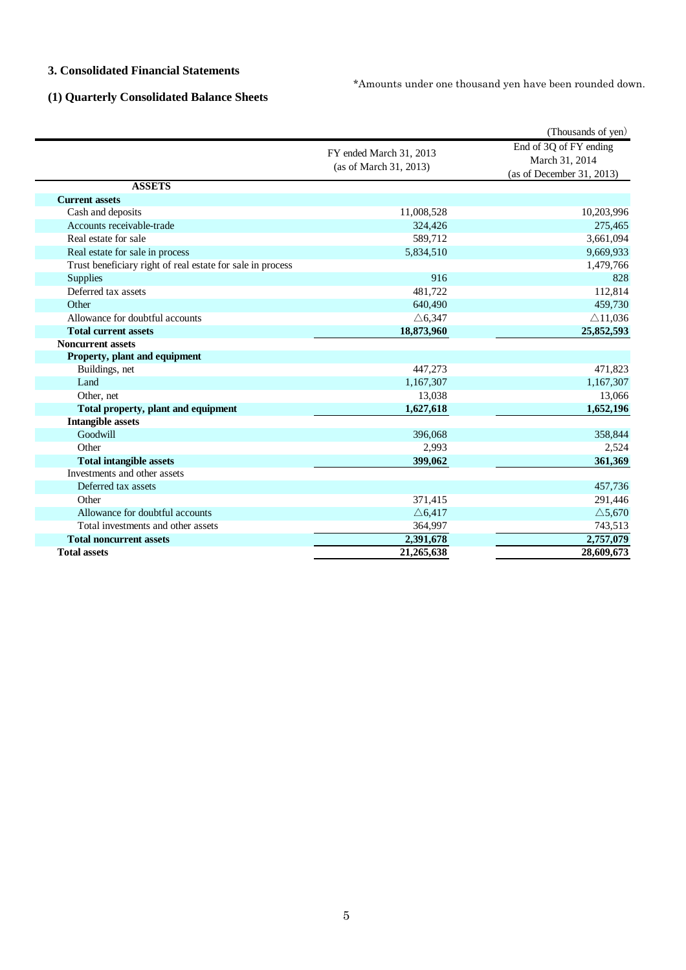### **3. Consolidated Financial Statements**

\*Amounts under one thousand yen have been rounded down.

# **(1) Quarterly Consolidated Balance Sheets**

|                                                            |                                                   | (Thousands of yen)                                                    |  |
|------------------------------------------------------------|---------------------------------------------------|-----------------------------------------------------------------------|--|
|                                                            | FY ended March 31, 2013<br>(as of March 31, 2013) | End of 3Q of FY ending<br>March 31, 2014<br>(as of December 31, 2013) |  |
| <b>ASSETS</b>                                              |                                                   |                                                                       |  |
| <b>Current assets</b>                                      |                                                   |                                                                       |  |
| Cash and deposits                                          | 11,008,528                                        | 10,203,996                                                            |  |
| Accounts receivable-trade                                  | 324,426                                           | 275,465                                                               |  |
| Real estate for sale                                       | 589,712                                           | 3,661,094                                                             |  |
| Real estate for sale in process                            | 5,834,510                                         | 9,669,933                                                             |  |
| Trust beneficiary right of real estate for sale in process |                                                   | 1,479,766                                                             |  |
| <b>Supplies</b>                                            | 916                                               | 828                                                                   |  |
| Deferred tax assets                                        | 481,722                                           | 112,814                                                               |  |
| Other                                                      | 640,490                                           | 459,730                                                               |  |
| Allowance for doubtful accounts                            | $\triangle$ 6,347                                 | $\triangle$ 11,036                                                    |  |
| <b>Total current assets</b>                                | 18,873,960                                        | 25,852,593                                                            |  |
| <b>Noncurrent assets</b>                                   |                                                   |                                                                       |  |
| Property, plant and equipment                              |                                                   |                                                                       |  |
| Buildings, net                                             | 447,273                                           | 471,823                                                               |  |
| Land                                                       | 1,167,307                                         | 1,167,307                                                             |  |
| Other, net                                                 | 13,038                                            | 13,066                                                                |  |
| Total property, plant and equipment                        | 1,627,618                                         | 1,652,196                                                             |  |
| <b>Intangible assets</b>                                   |                                                   |                                                                       |  |
| Goodwill                                                   | 396,068                                           | 358,844                                                               |  |
| Other                                                      | 2,993                                             | 2,524                                                                 |  |
| <b>Total intangible assets</b>                             | 399,062                                           | 361,369                                                               |  |
| Investments and other assets                               |                                                   |                                                                       |  |
| Deferred tax assets                                        |                                                   | 457,736                                                               |  |
| Other                                                      | 371,415                                           | 291,446                                                               |  |
| Allowance for doubtful accounts                            | $\triangle 6,417$                                 | $\triangle$ 5,670                                                     |  |
| Total investments and other assets                         | 364,997                                           | 743,513                                                               |  |
| <b>Total noncurrent assets</b>                             | 2,391,678                                         | 2,757,079                                                             |  |
| <b>Total assets</b>                                        | 21,265,638                                        | 28,609,673                                                            |  |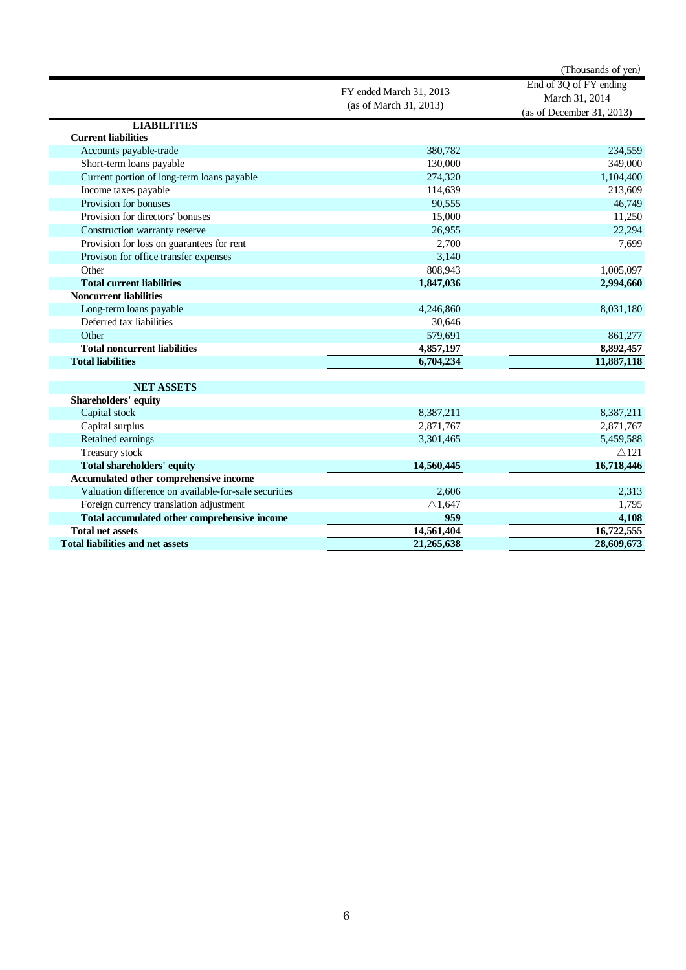|                                                       |                                                   | (Thousands of yen)                                                    |  |
|-------------------------------------------------------|---------------------------------------------------|-----------------------------------------------------------------------|--|
|                                                       | FY ended March 31, 2013<br>(as of March 31, 2013) | End of 3Q of FY ending<br>March 31, 2014<br>(as of December 31, 2013) |  |
| <b>LIABILITIES</b>                                    |                                                   |                                                                       |  |
| <b>Current liabilities</b>                            |                                                   |                                                                       |  |
| Accounts payable-trade                                | 380,782                                           | 234,559                                                               |  |
| Short-term loans payable                              | 130,000                                           | 349,000                                                               |  |
| Current portion of long-term loans payable            | 274,320                                           | 1,104,400                                                             |  |
| Income taxes payable                                  | 114,639                                           | 213,609                                                               |  |
| Provision for bonuses                                 | 90,555                                            | 46,749                                                                |  |
| Provision for directors' bonuses                      | 15,000                                            | 11,250                                                                |  |
| Construction warranty reserve                         | 26,955                                            | 22,294                                                                |  |
| Provision for loss on guarantees for rent             | 2,700                                             | 7,699                                                                 |  |
| Provison for office transfer expenses                 | 3,140                                             |                                                                       |  |
| Other                                                 | 808,943                                           | 1,005,097                                                             |  |
| <b>Total current liabilities</b>                      | 1,847,036                                         | 2,994,660                                                             |  |
| <b>Noncurrent liabilities</b>                         |                                                   |                                                                       |  |
| Long-term loans payable                               | 4,246,860                                         | 8,031,180                                                             |  |
| Deferred tax liabilities                              | 30,646                                            |                                                                       |  |
| Other                                                 | 579,691                                           | 861,277                                                               |  |
| <b>Total noncurrent liabilities</b>                   | 4,857,197                                         | 8,892,457                                                             |  |
| <b>Total liabilities</b>                              | 6,704,234                                         | 11,887,118                                                            |  |
| <b>NET ASSETS</b>                                     |                                                   |                                                                       |  |
| Shareholders' equity                                  |                                                   |                                                                       |  |
| Capital stock                                         | 8,387,211                                         | 8,387,211                                                             |  |
| Capital surplus                                       | 2,871,767                                         | 2,871,767                                                             |  |
| Retained earnings                                     | 3,301,465                                         | 5,459,588                                                             |  |
| <b>Treasury stock</b>                                 |                                                   | $\triangle$ 121                                                       |  |
| <b>Total shareholders' equity</b>                     | 14,560,445                                        | 16,718,446                                                            |  |
| Accumulated other comprehensive income                |                                                   |                                                                       |  |
| Valuation difference on available-for-sale securities | 2,606                                             | 2,313                                                                 |  |
| Foreign currency translation adjustment               | $\triangle$ 1,647                                 | 1,795                                                                 |  |
| Total accumulated other comprehensive income          | 959                                               | 4,108                                                                 |  |
| <b>Total net assets</b>                               | 14,561,404                                        | 16,722,555                                                            |  |
| <b>Total liabilities and net assets</b>               | 21,265,638                                        | 28,609,673                                                            |  |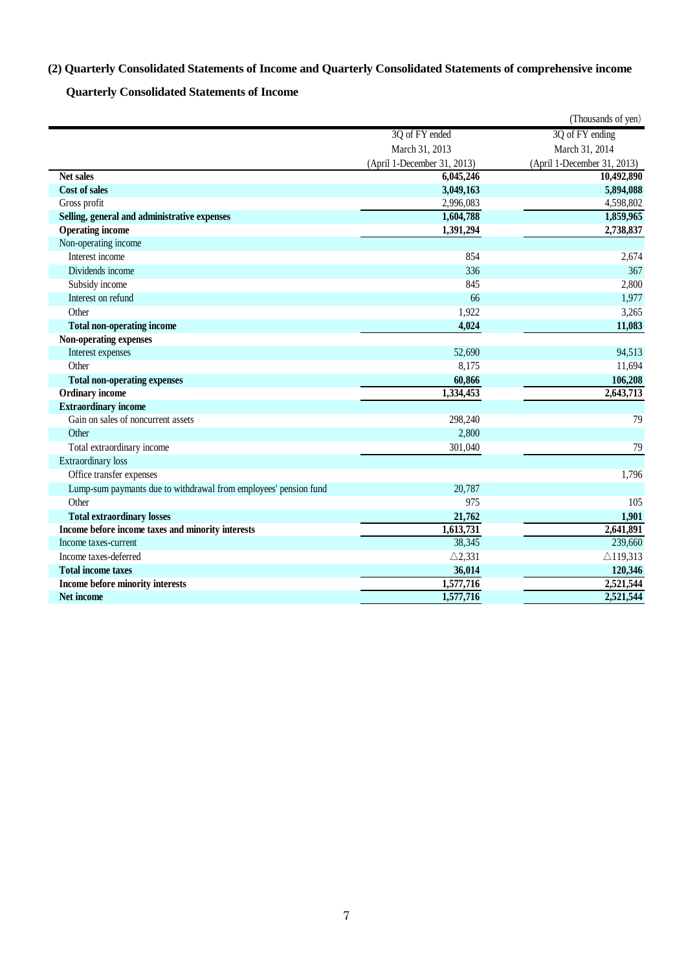## **(2) Quarterly Consolidated Statements of Income and Quarterly Consolidated Statements of comprehensive income**

**Quarterly Consolidated Statements of Income** 

|                                                                  |                             | (Thousands of yen)          |
|------------------------------------------------------------------|-----------------------------|-----------------------------|
|                                                                  | 3Q of FY ended              | 3Q of FY ending             |
|                                                                  | March 31, 2013              | March 31, 2014              |
|                                                                  | (April 1-December 31, 2013) | (April 1-December 31, 2013) |
| <b>Net sales</b>                                                 | 6,045,246                   | 10,492,890                  |
| <b>Cost of sales</b>                                             | 3,049,163                   | 5,894,088                   |
| Gross profit                                                     | 2,996,083                   | 4,598,802                   |
| Selling, general and administrative expenses                     | 1,604,788                   | 1,859,965                   |
| <b>Operating income</b>                                          | 1,391,294                   | 2,738,837                   |
| Non-operating income                                             |                             |                             |
| Interest income                                                  | 854                         | 2,674                       |
| Dividends income                                                 | 336                         | 367                         |
| Subsidy income                                                   | 845                         | 2,800                       |
| Interest on refund                                               | 66                          | 1,977                       |
| Other                                                            | 1,922                       | 3,265                       |
| <b>Total non-operating income</b>                                | 4,024                       | 11,083                      |
| Non-operating expenses                                           |                             |                             |
| Interest expenses                                                | 52,690                      | 94,513                      |
| Other                                                            | 8,175                       | 11,694                      |
| <b>Total non-operating expenses</b>                              | 60,866                      | 106,208                     |
| <b>Ordinary income</b>                                           | 1,334,453                   | 2,643,713                   |
| <b>Extraordinary income</b>                                      |                             |                             |
| Gain on sales of noncurrent assets                               | 298,240                     | 79                          |
| Other                                                            | 2,800                       |                             |
| Total extraordinary income                                       | 301,040                     | 79                          |
| <b>Extraordinary</b> loss                                        |                             |                             |
| Office transfer expenses                                         |                             | 1,796                       |
| Lump-sum paymants due to withdrawal from employees' pension fund | 20,787                      |                             |
| Other                                                            | 975                         | 105                         |
| <b>Total extraordinary losses</b>                                | 21,762                      | 1,901                       |
| Income before income taxes and minority interests                | 1,613,731                   | 2,641,891                   |
| Income taxes-current                                             | 38,345                      | 239,660                     |
| Income taxes-deferred                                            | $\triangle$ 2,331           | $\triangle$ 119,313         |
| <b>Total income taxes</b>                                        | 36,014                      | 120,346                     |
| Income before minority interests                                 | 1,577,716                   | 2,521,544                   |
| Net income                                                       | 1,577,716                   | 2,521,544                   |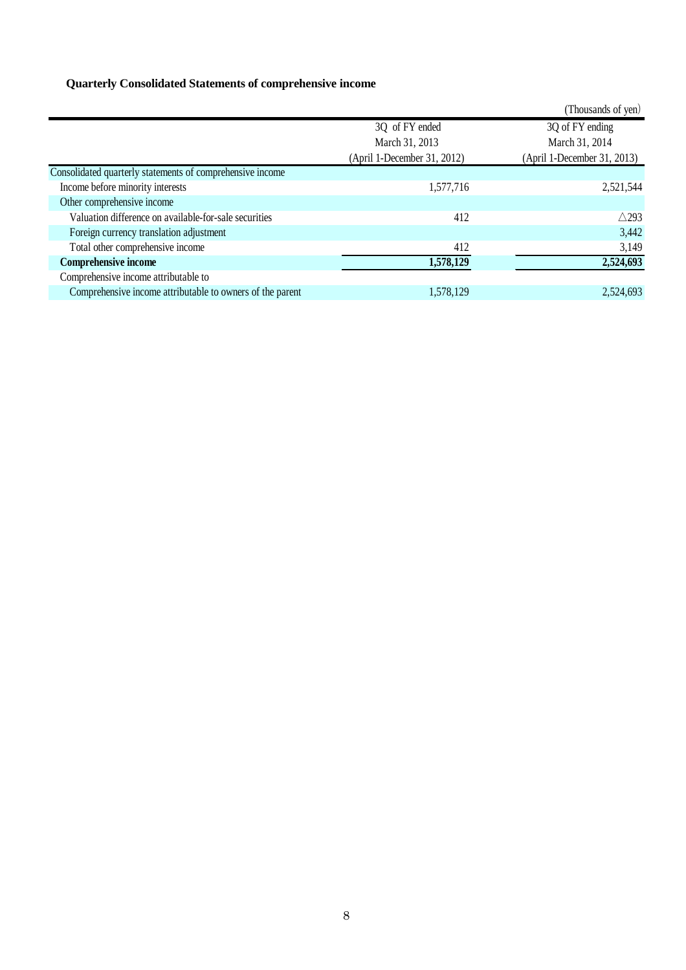# **Quarterly Consolidated Statements of comprehensive income**

|                                                           |                             | (Thousands of yen)          |
|-----------------------------------------------------------|-----------------------------|-----------------------------|
|                                                           | 3Q of FY ended              | 3Q of FY ending             |
|                                                           | March 31, 2013              | March 31, 2014              |
|                                                           | (April 1-December 31, 2012) | (April 1-December 31, 2013) |
| Consolidated quarterly statements of comprehensive income |                             |                             |
| Income before minority interests                          | 1,577,716                   | 2,521,544                   |
| Other comprehensive income                                |                             |                             |
| Valuation difference on available-for-sale securities     | 412                         | $\triangle$ 293             |
| Foreign currency translation adjustment                   |                             | 3,442                       |
| Total other comprehensive income                          | 412                         | 3,149                       |
| <b>Comprehensive income</b>                               | 1,578,129                   | 2,524,693                   |
| Comprehensive income attributable to                      |                             |                             |
| Comprehensive income attributable to owners of the parent | 1,578,129                   | 2,524,693                   |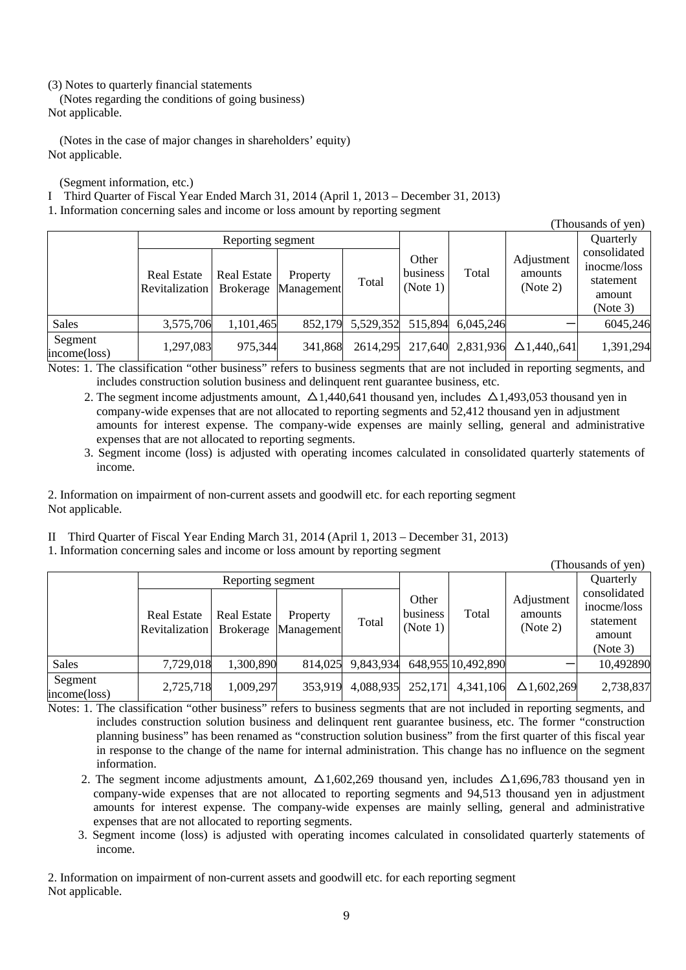### (3) Notes to quarterly financial statements

(Notes regarding the conditions of going business) Not applicable.

(Notes in the case of major changes in shareholders' equity) Not applicable.

(Segment information, etc.)

I Third Quarter of Fiscal Year Ended March 31, 2014 (April 1, 2013 – December 31, 2013)

1. Information concerning sales and income or loss amount by reporting segment

|                   |                    |                    |            |           |          |           |                     | (Thousands of yen) |
|-------------------|--------------------|--------------------|------------|-----------|----------|-----------|---------------------|--------------------|
| Reporting segment |                    |                    |            |           |          |           | Quarterly           |                    |
|                   |                    |                    |            |           | Other    |           | Adjustment          | consolidated       |
|                   | <b>Real Estate</b> | <b>Real Estate</b> | Property   |           | business | Total     | amounts             | inocme/loss        |
|                   | Revitalization     | <b>Brokerage</b>   | Management | Total     | (Note 1) |           | (Note 2)            | statement          |
|                   |                    |                    |            |           |          |           |                     | amount             |
|                   |                    |                    |            |           |          |           |                     | (Note 3)           |
| <b>Sales</b>      | 3,575,706          | 1,101,465          | 852,179    | 5,529,352 | 515,894  | 6,045,246 |                     | 6045,246           |
| Segment           | 1,297,083          | 975,344            | 341,868    | 2614,295  | 217,640  | 2,831,936 | $\Delta$ 1,440,,641 | 1,391,294          |
| income(loss)      |                    |                    |            |           |          |           |                     |                    |

Notes: 1. The classification "other business" refers to business segments that are not included in reporting segments, and includes construction solution business and delinquent rent guarantee business, etc.

2. The segment income adjustments amount,  $\Delta$ 1,440,641 thousand yen, includes  $\Delta$ 1,493,053 thousand yen in company-wide expenses that are not allocated to reporting segments and 52,412 thousand yen in adjustment amounts for interest expense. The company-wide expenses are mainly selling, general and administrative expenses that are not allocated to reporting segments.

3. Segment income (loss) is adjusted with operating incomes calculated in consolidated quarterly statements of income.

2. Information on impairment of non-current assets and goodwill etc. for each reporting segment Not applicable.

II Third Quarter of Fiscal Year Ending March 31, 2014 (April 1, 2013 – December 31, 2013)

1. Information concerning sales and income or loss amount by reporting segment

|                         |                    |                    |            |           |          |                    |                    | (Thousands of yen)  |
|-------------------------|--------------------|--------------------|------------|-----------|----------|--------------------|--------------------|---------------------|
| Reporting segment       |                    |                    |            |           |          |                    | Quarterly          |                     |
|                         |                    |                    |            |           | Other    |                    | Adjustment         | consolidated        |
|                         | <b>Real Estate</b> | <b>Real Estate</b> | Property   |           | business | Total              | amounts            | inocme/loss         |
|                         | Revitalization     | <b>Brokerage</b>   | Management | Total     | (Note 1) |                    | (Note 2)           | statement<br>amount |
|                         |                    |                    |            |           |          |                    |                    | (Note 3)            |
| <b>Sales</b>            | 7,729,018          | 1,300,890          | 814,025    | 9,843,934 |          | 648,955 10,492,890 |                    | 10,492890           |
| Segment<br>income(loss) | 2,725,718          | 1,009,297          | 353,919    | 4,088,935 | 252,171  | 4,341,106          | $\Delta$ 1,602,269 | 2,738,837           |

Notes: 1. The classification "other business" refers to business segments that are not included in reporting segments, and includes construction solution business and delinquent rent guarantee business, etc. The former "construction planning business" has been renamed as "construction solution business" from the first quarter of this fiscal year in response to the change of the name for internal administration. This change has no influence on the segment information.

2. The segment income adjustments amount,  $\Delta 1,602,269$  thousand yen, includes  $\Delta 1,696,783$  thousand yen in company-wide expenses that are not allocated to reporting segments and 94,513 thousand yen in adjustment amounts for interest expense. The company-wide expenses are mainly selling, general and administrative expenses that are not allocated to reporting segments.

3. Segment income (loss) is adjusted with operating incomes calculated in consolidated quarterly statements of income.

2. Information on impairment of non-current assets and goodwill etc. for each reporting segment Not applicable.